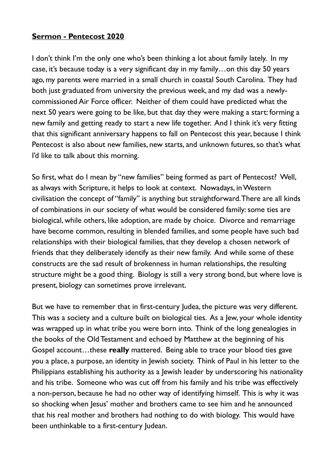## **Sermon - Pentecost 2020**

I don't think I'm the only one who's been thinking a lot about family lately. In my case, it's because today is a very significant day in my family…on this day 50 years ago, my parents were married in a small church in coastal South Carolina. They had both just graduated from university the previous week, and my dad was a newlycommissioned Air Force officer. Neither of them could have predicted what the next 50 years were going to be like, but that day they were making a start: forming a new family and getting ready to start a new life together. And I think it's very fitting that this significant anniversary happens to fall on Pentecost this year, because I think Pentecost is also about new families, new starts, and unknown futures, so that's what I'd like to talk about this morning.

So first, what do I mean by "new families" being formed as part of Pentecost? Well, as always with Scripture, it helps to look at context. Nowadays, in Western civilisation the concept of "family" is anything but straightforward. There are all kinds of combinations in our society of what would be considered family: some ties are biological, while others, like adoption, are made by choice. Divorce and remarriage have become common, resulting in blended families, and some people have such bad relationships with their biological families, that they develop a chosen network of friends that they deliberately identify as their new family. And while some of these constructs are the sad result of brokenness in human relationships, the resulting structure might be a good thing. Biology is still a very strong bond, but where love is present, biology can sometimes prove irrelevant.

But we have to remember that in first-century Judea, the picture was very different. This was a society and a culture built on biological ties. As a Jew, your whole identity was wrapped up in what tribe you were born into. Think of the long genealogies in the books of the Old Testament and echoed by Matthew at the beginning of his Gospel account…these **really** mattered. Being able to trace your blood ties gave you a place, a purpose, an identity in Jewish society. Think of Paul in his letter to the Philippians establishing his authority as a Jewish leader by underscoring his nationality and his tribe. Someone who was cut off from his family and his tribe was effectively a non-person, because he had no other way of identifying himself. This is why it was so shocking when Jesus' mother and brothers came to see him and he announced that his real mother and brothers had nothing to do with biology. This would have been unthinkable to a first-century Judean.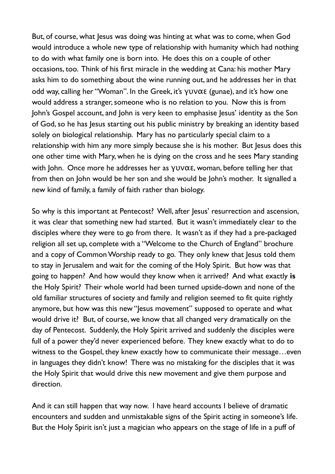But, of course, what Jesus was doing was hinting at what was to come, when God would introduce a whole new type of relationship with humanity which had nothing to do with what family one is born into. He does this on a couple of other occasions, too. Think of his first miracle in the wedding at Cana: his mother Mary asks him to do something about the wine running out, and he addresses her in that odd way, calling her "Woman". In the Greek, it's γυναε (gunae), and it's how one would address a stranger, someone who is no relation to you. Now this is from John's Gospel account, and John is very keen to emphasise Jesus' identity as the Son of God, so he has Jesus starting out his public ministry by breaking an identity based solely on biological relationship. Mary has no particularly special claim to a relationship with him any more simply because she is his mother. But Jesus does this one other time with Mary, when he is dying on the cross and he sees Mary standing with John. Once more he addresses her as γυναε, woman, before telling her that from then on John would be her son and she would be John's mother. It signalled a new kind of family, a family of faith rather than biology.

So why is this important at Pentecost? Well, after Jesus' resurrection and ascension, it was clear that something new had started. But it wasn't immediately clear to the disciples where they were to go from there. It wasn't as if they had a pre-packaged religion all set up, complete with a "Welcome to the Church of England" brochure and a copy of Common Worship ready to go. They only knew that Jesus told them to stay in Jerusalem and wait for the coming of the Holy Spirit. But how was that going to happen? And how would they know when it arrived? And what exactly **is** the Holy Spirit? Their whole world had been turned upside-down and none of the old familiar structures of society and family and religion seemed to fit quite rightly anymore, but how was this new "Jesus movement" supposed to operate and what would drive it? But, of course, we know that all changed very dramatically on the day of Pentecost. Suddenly, the Holy Spirit arrived and suddenly the disciples were full of a power they'd never experienced before. They knew exactly what to do to witness to the Gospel, they knew exactly how to communicate their message…even in languages they didn't know! There was no mistaking for the disciples that it was the Holy Spirit that would drive this new movement and give them purpose and direction.

And it can still happen that way now. I have heard accounts I believe of dramatic encounters and sudden and unmistakable signs of the Spirit acting in someone's life. But the Holy Spirit isn't just a magician who appears on the stage of life in a puff of